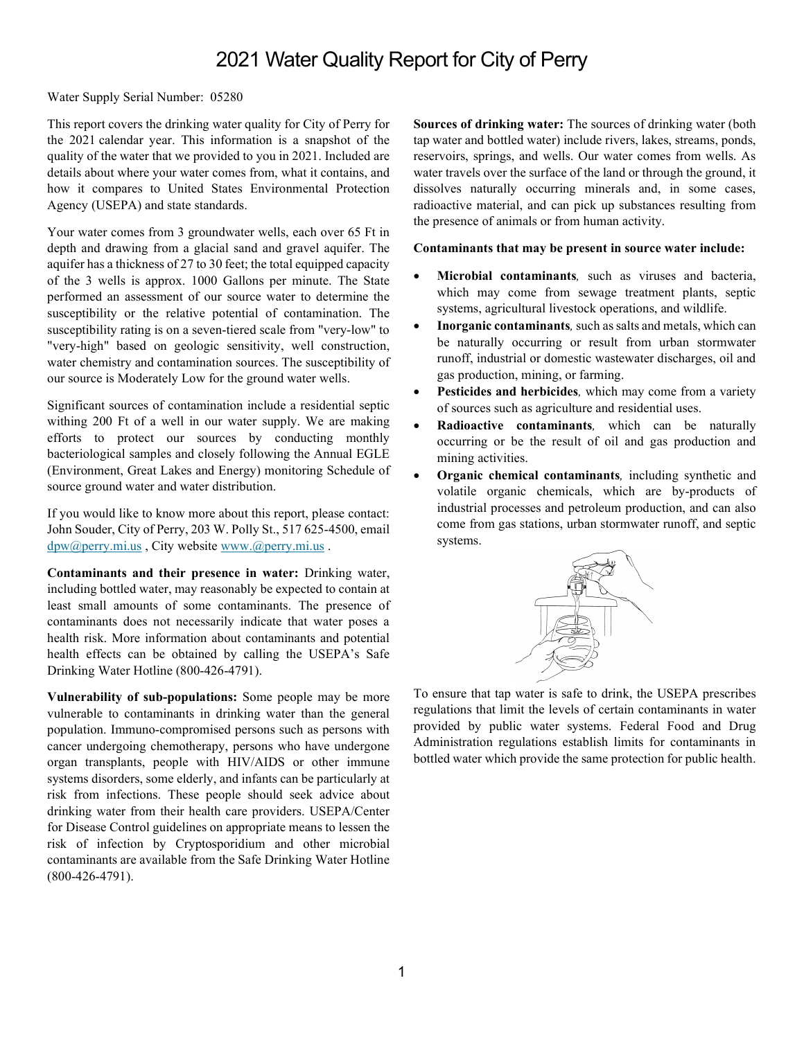## 2021 Water Quality Report for City of Perry

Water Supply Serial Number: 05280

This report covers the drinking water quality for City of Perry for the 2021 calendar year. This information is a snapshot of the quality of the water that we provided to you in 2021. Included are details about where your water comes from, what it contains, and how it compares to United States Environmental Protection Agency (USEPA) and state standards.

Your water comes from 3 groundwater wells, each over 65 Ft in depth and drawing from a glacial sand and gravel aquifer. The aquifer has a thickness of 27 to 30 feet; the total equipped capacity of the 3 wells is approx. 1000 Gallons per minute. The State performed an assessment of our source water to determine the susceptibility or the relative potential of contamination. The susceptibility rating is on a seven-tiered scale from "very-low" to "very-high" based on geologic sensitivity, well construction, water chemistry and contamination sources. The susceptibility of our source is Moderately Low for the ground water wells.

Significant sources of contamination include a residential septic withing 200 Ft of a well in our water supply. We are making efforts to protect our sources by conducting monthly bacteriological samples and closely following the Annual EGLE (Environment, Great Lakes and Energy) monitoring Schedule of source ground water and water distribution.

If you would like to know more about this report, please contact: John Souder, City of Perry, 203 W. Polly St., 517 625-4500, email dpw@perry.mi.us , City website www.@perry.mi.us .

Contaminants and their presence in water: Drinking water, including bottled water, may reasonably be expected to contain at least small amounts of some contaminants. The presence of contaminants does not necessarily indicate that water poses a health risk. More information about contaminants and potential health effects can be obtained by calling the USEPA's Safe Drinking Water Hotline (800-426-4791).

Vulnerability of sub-populations: Some people may be more vulnerable to contaminants in drinking water than the general population. Immuno-compromised persons such as persons with cancer undergoing chemotherapy, persons who have undergone organ transplants, people with HIV/AIDS or other immune systems disorders, some elderly, and infants can be particularly at risk from infections. These people should seek advice about drinking water from their health care providers. USEPA/Center for Disease Control guidelines on appropriate means to lessen the risk of infection by Cryptosporidium and other microbial contaminants are available from the Safe Drinking Water Hotline (800-426-4791).

Sources of drinking water: The sources of drinking water (both tap water and bottled water) include rivers, lakes, streams, ponds, reservoirs, springs, and wells. Our water comes from wells. As water travels over the surface of the land or through the ground, it dissolves naturally occurring minerals and, in some cases, radioactive material, and can pick up substances resulting from the presence of animals or from human activity.

## Contaminants that may be present in source water include:

- Microbial contaminants, such as viruses and bacteria, which may come from sewage treatment plants, septic systems, agricultural livestock operations, and wildlife.
- Inorganic contaminants, such as salts and metals, which can be naturally occurring or result from urban stormwater runoff, industrial or domestic wastewater discharges, oil and gas production, mining, or farming.
- Pesticides and herbicides, which may come from a variety of sources such as agriculture and residential uses.
- Radioactive contaminants, which can be naturally occurring or be the result of oil and gas production and mining activities.
- Organic chemical contaminants, including synthetic and volatile organic chemicals, which are by-products of industrial processes and petroleum production, and can also come from gas stations, urban stormwater runoff, and septic systems.



To ensure that tap water is safe to drink, the USEPA prescribes regulations that limit the levels of certain contaminants in water provided by public water systems. Federal Food and Drug Administration regulations establish limits for contaminants in bottled water which provide the same protection for public health.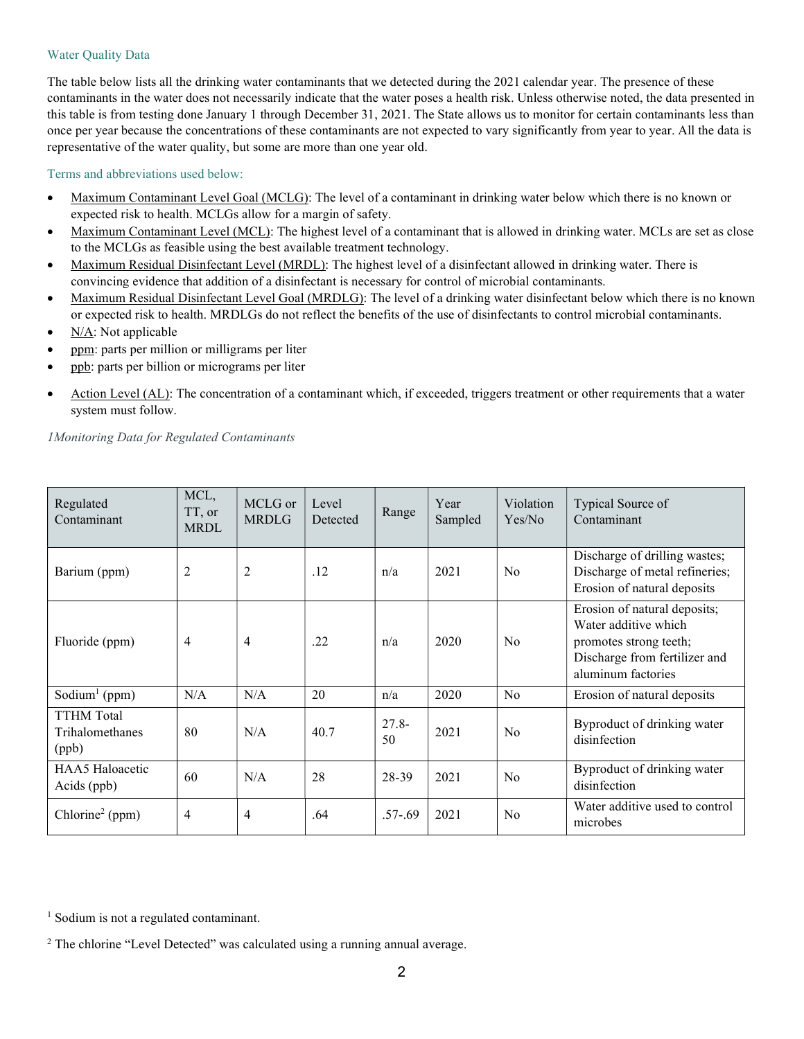## Water Quality Data

The table below lists all the drinking water contaminants that we detected during the 2021 calendar year. The presence of these contaminants in the water does not necessarily indicate that the water poses a health risk. Unless otherwise noted, the data presented in this table is from testing done January 1 through December 31, 2021. The State allows us to monitor for certain contaminants less than once per year because the concentrations of these contaminants are not expected to vary significantly from year to year. All the data is representative of the water quality, but some are more than one year old.

## Terms and abbreviations used below:

- Maximum Contaminant Level Goal (MCLG): The level of a contaminant in drinking water below which there is no known or expected risk to health. MCLGs allow for a margin of safety.
- Maximum Contaminant Level (MCL): The highest level of a contaminant that is allowed in drinking water. MCLs are set as close to the MCLGs as feasible using the best available treatment technology.
- Maximum Residual Disinfectant Level (MRDL): The highest level of a disinfectant allowed in drinking water. There is convincing evidence that addition of a disinfectant is necessary for control of microbial contaminants.
- Maximum Residual Disinfectant Level Goal (MRDLG): The level of a drinking water disinfectant below which there is no known or expected risk to health. MRDLGs do not reflect the benefits of the use of disinfectants to control microbial contaminants.
- N/A: Not applicable
- ppm: parts per million or milligrams per liter
- ppb: parts per billion or micrograms per liter
- Action Level (AL): The concentration of a contaminant which, if exceeded, triggers treatment or other requirements that a water system must follow.

1Monitoring Data for Regulated Contaminants

| Regulated<br>Contaminant                      | MCL,<br>TT, or<br><b>MRDL</b> | MCLG or<br><b>MRDLG</b> | Level<br>Detected | Range          | Year<br>Sampled | Violation<br>Yes/No | Typical Source of<br>Contaminant                                                                                                      |
|-----------------------------------------------|-------------------------------|-------------------------|-------------------|----------------|-----------------|---------------------|---------------------------------------------------------------------------------------------------------------------------------------|
| Barium (ppm)                                  | $\overline{2}$                | $\overline{2}$          | .12               | n/a            | 2021            | N <sub>o</sub>      | Discharge of drilling wastes;<br>Discharge of metal refineries;<br>Erosion of natural deposits                                        |
| Fluoride (ppm)                                | $\overline{4}$                | $\overline{4}$          | .22               | n/a            | 2020            | N <sub>0</sub>      | Erosion of natural deposits;<br>Water additive which<br>promotes strong teeth;<br>Discharge from fertilizer and<br>aluminum factories |
| Sodium <sup>1</sup> (ppm)                     | N/A                           | N/A                     | 20                | n/a            | 2020            | No                  | Erosion of natural deposits                                                                                                           |
| <b>TTHM</b> Total<br>Trihalomethanes<br>(ppb) | 80                            | N/A                     | 40.7              | $27.8 -$<br>50 | 2021            | N <sub>0</sub>      | Byproduct of drinking water<br>disinfection                                                                                           |
| HAA5 Haloacetic<br>Acids (ppb)                | 60                            | N/A                     | 28                | 28-39          | 2021            | N <sub>o</sub>      | Byproduct of drinking water<br>disinfection                                                                                           |
| Chlorine <sup>2</sup> (ppm)                   | $\overline{4}$                | $\overline{4}$          | .64               | $.57 - .69$    | 2021            | N <sub>0</sub>      | Water additive used to control<br>microbes                                                                                            |

<sup>1</sup> Sodium is not a regulated contaminant.

<sup>2</sup> The chlorine "Level Detected" was calculated using a running annual average.